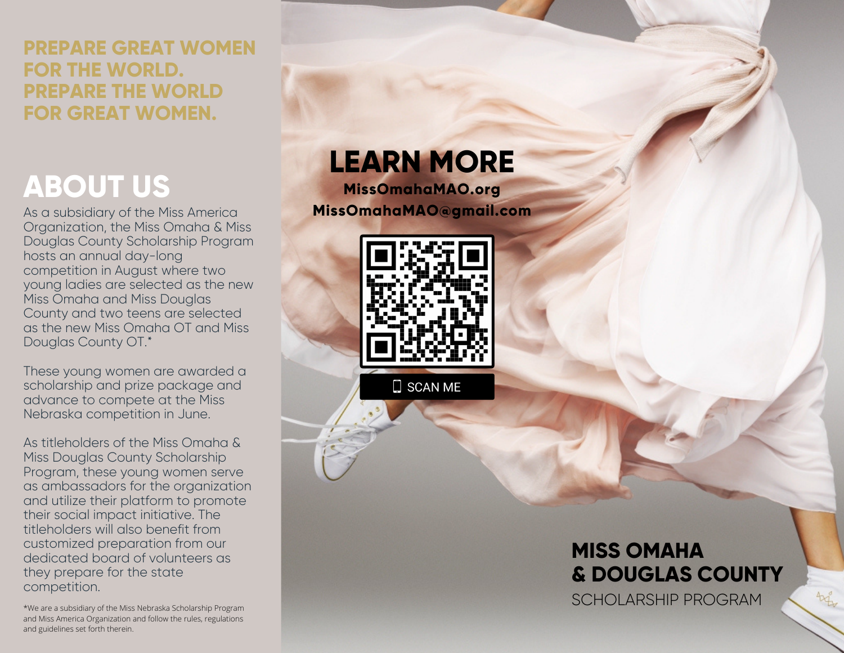### **PREPARE GREAT WOMEN FOR THE WORLD. PREPARE THE WORLD FOR GREAT WOMEN.**

# **ABOUT US**

As a subsidiary of the Miss America Organization, the Miss Omaha & Miss Douglas County Scholarship Program hosts an annual day-long competition in August where two young ladies are selected as the new Miss Omaha and Miss Douglas County and two teens are selected as the new Miss Omaha OT and Miss Douglas County OT.\*

These young women are awarded a [scholarship](https://www.missomahamao.org/scholarships-awards) and prize package and advance to compete at the Miss Nebraska [competition](http://missnebraska.org/) in June.

As titleholders of the Miss Omaha & Miss Douglas County Scholarship Program, these young women serve as ambassadors for the organization and utilize their platform to promote their social impact initiative. The titleholders will also benefit from customized preparation from our dedicated board of volunteers as they prepare for the state competition.

\*We are a subsidiary of the Miss Nebraska Scholarship Program and Miss America Organization and follow the rules, regulations and guidelines set forth therein.

## **LEARN MORE**

**MissOmahaMAO.org MissOmahaMAO@gmail.com**



 $\square$  SCAN ME

## **MISS OMAHA & DOUGLAS COUNTY**

SCHOLARSHIP PROGRAM